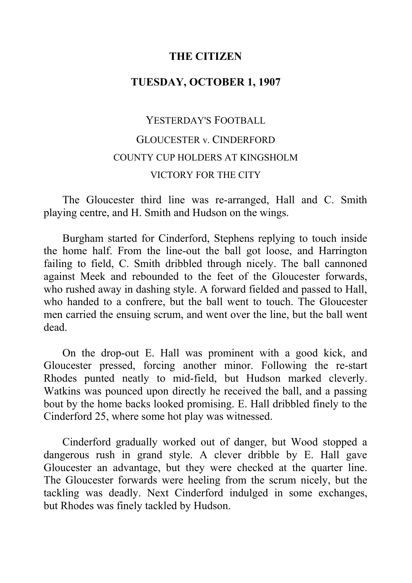## **THE CITIZEN**

## **TUESDAY, OCTOBER 1, 1907**

## YESTERDAY'S FOOTBALL GLOUCESTER v. CINDERFORD COUNTY CUP HOLDERS AT KINGSHOLM VICTORY FOR THE CITY

The Gloucester third line was re-arranged, Hall and C. Smith playing centre, and H. Smith and Hudson on the wings.

Burgham started for Cinderford, Stephens replying to touch inside the home half. From the line-out the ball got loose, and Harrington failing to field, C. Smith dribbled through nicely. The ball cannoned against Meek and rebounded to the feet of the Gloucester forwards, who rushed away in dashing style. A forward fielded and passed to Hall, who handed to a confrere, but the ball went to touch. The Gloucester men carried the ensuing scrum, and went over the line, but the ball went dead.

On the drop-out E. Hall was prominent with a good kick, and Gloucester pressed, forcing another minor. Following the re-start Rhodes punted neatly to mid-field, but Hudson marked cleverly. Watkins was pounced upon directly he received the ball, and a passing bout by the home backs looked promising. E. Hall dribbled finely to the Cinderford 25, where some hot play was witnessed.

Cinderford gradually worked out of danger, but Wood stopped a dangerous rush in grand style. A clever dribble by E. Hall gave Gloucester an advantage, but they were checked at the quarter line. The Gloucester forwards were heeling from the scrum nicely, but the tackling was deadly. Next Cinderford indulged in some exchanges, but Rhodes was finely tackled by Hudson.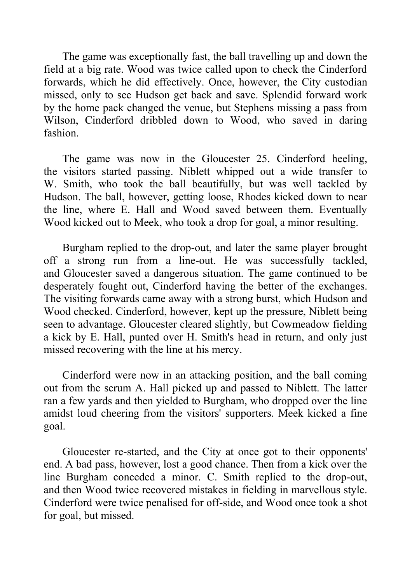The game was exceptionally fast, the ball travelling up and down the field at a big rate. Wood was twice called upon to check the Cinderford forwards, which he did effectively. Once, however, the City custodian missed, only to see Hudson get back and save. Splendid forward work by the home pack changed the venue, but Stephens missing a pass from Wilson, Cinderford dribbled down to Wood, who saved in daring fashion.

The game was now in the Gloucester 25. Cinderford heeling, the visitors started passing. Niblett whipped out a wide transfer to W. Smith, who took the ball beautifully, but was well tackled by Hudson. The ball, however, getting loose, Rhodes kicked down to near the line, where E. Hall and Wood saved between them. Eventually Wood kicked out to Meek, who took a drop for goal, a minor resulting.

Burgham replied to the drop-out, and later the same player brought off a strong run from a line-out. He was successfully tackled, and Gloucester saved a dangerous situation. The game continued to be desperately fought out, Cinderford having the better of the exchanges. The visiting forwards came away with a strong burst, which Hudson and Wood checked. Cinderford, however, kept up the pressure, Niblett being seen to advantage. Gloucester cleared slightly, but Cowmeadow fielding a kick by E. Hall, punted over H. Smith's head in return, and only just missed recovering with the line at his mercy.

Cinderford were now in an attacking position, and the ball coming out from the scrum A. Hall picked up and passed to Niblett. The latter ran a few yards and then yielded to Burgham, who dropped over the line amidst loud cheering from the visitors' supporters. Meek kicked a fine goal.

Gloucester re-started, and the City at once got to their opponents' end. A bad pass, however, lost a good chance. Then from a kick over the line Burgham conceded a minor. C. Smith replied to the drop-out, and then Wood twice recovered mistakes in fielding in marvellous style. Cinderford were twice penalised for off-side, and Wood once took a shot for goal, but missed.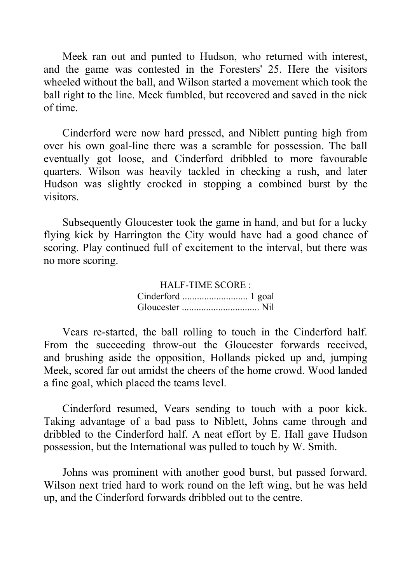Meek ran out and punted to Hudson, who returned with interest, and the game was contested in the Foresters' 25. Here the visitors wheeled without the ball, and Wilson started a movement which took the ball right to the line. Meek fumbled, but recovered and saved in the nick of time.

Cinderford were now hard pressed, and Niblett punting high from over his own goal-line there was a scramble for possession. The ball eventually got loose, and Cinderford dribbled to more favourable quarters. Wilson was heavily tackled in checking a rush, and later Hudson was slightly crocked in stopping a combined burst by the visitors.

Subsequently Gloucester took the game in hand, and but for a lucky flying kick by Harrington the City would have had a good chance of scoring. Play continued full of excitement to the interval, but there was no more scoring.

> HALF-TIME SCORE : Cinderford ........................... 1 goal Gloucester ................................ Nil

Vears re-started, the ball rolling to touch in the Cinderford half. From the succeeding throw-out the Gloucester forwards received, and brushing aside the opposition, Hollands picked up and, jumping Meek, scored far out amidst the cheers of the home crowd. Wood landed a fine goal, which placed the teams level.

Cinderford resumed, Vears sending to touch with a poor kick. Taking advantage of a bad pass to Niblett, Johns came through and dribbled to the Cinderford half. A neat effort by E. Hall gave Hudson possession, but the International was pulled to touch by W. Smith.

Johns was prominent with another good burst, but passed forward. Wilson next tried hard to work round on the left wing, but he was held up, and the Cinderford forwards dribbled out to the centre.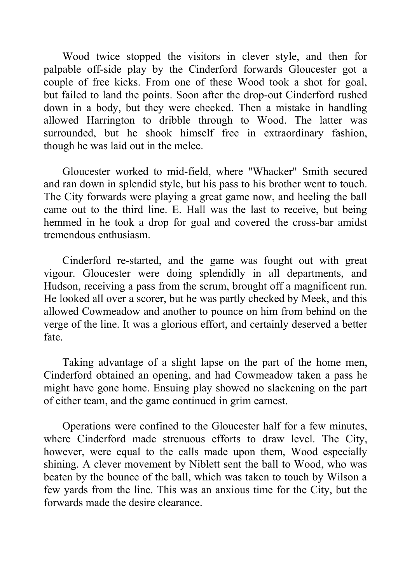Wood twice stopped the visitors in clever style, and then for palpable off-side play by the Cinderford forwards Gloucester got a couple of free kicks. From one of these Wood took a shot for goal, but failed to land the points. Soon after the drop-out Cinderford rushed down in a body, but they were checked. Then a mistake in handling allowed Harrington to dribble through to Wood. The latter was surrounded, but he shook himself free in extraordinary fashion, though he was laid out in the melee.

Gloucester worked to mid-field, where "Whacker" Smith secured and ran down in splendid style, but his pass to his brother went to touch. The City forwards were playing a great game now, and heeling the ball came out to the third line. E. Hall was the last to receive, but being hemmed in he took a drop for goal and covered the cross-bar amidst tremendous enthusiasm.

Cinderford re-started, and the game was fought out with great vigour. Gloucester were doing splendidly in all departments, and Hudson, receiving a pass from the scrum, brought off a magnificent run. He looked all over a scorer, but he was partly checked by Meek, and this allowed Cowmeadow and another to pounce on him from behind on the verge of the line. It was a glorious effort, and certainly deserved a better fate.

Taking advantage of a slight lapse on the part of the home men, Cinderford obtained an opening, and had Cowmeadow taken a pass he might have gone home. Ensuing play showed no slackening on the part of either team, and the game continued in grim earnest.

Operations were confined to the Gloucester half for a few minutes, where Cinderford made strenuous efforts to draw level. The City, however, were equal to the calls made upon them, Wood especially shining. A clever movement by Niblett sent the ball to Wood, who was beaten by the bounce of the ball, which was taken to touch by Wilson a few yards from the line. This was an anxious time for the City, but the forwards made the desire clearance.